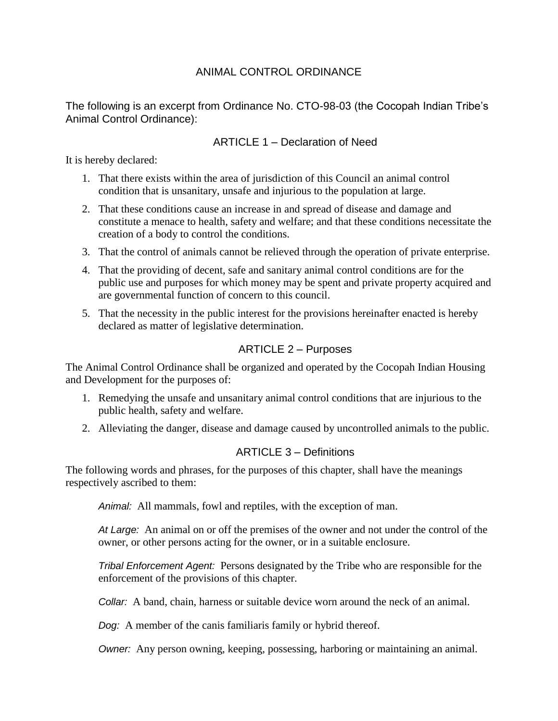### ANIMAL CONTROL ORDINANCE

The following is an excerpt from Ordinance No. CTO-98-03 (the Cocopah Indian Tribe's Animal Control Ordinance):

#### ARTICLE 1 – Declaration of Need

It is hereby declared:

- 1. That there exists within the area of jurisdiction of this Council an animal control condition that is unsanitary, unsafe and injurious to the population at large.
- 2. That these conditions cause an increase in and spread of disease and damage and constitute a menace to health, safety and welfare; and that these conditions necessitate the creation of a body to control the conditions.
- 3. That the control of animals cannot be relieved through the operation of private enterprise.
- 4. That the providing of decent, safe and sanitary animal control conditions are for the public use and purposes for which money may be spent and private property acquired and are governmental function of concern to this council.
- 5. That the necessity in the public interest for the provisions hereinafter enacted is hereby declared as matter of legislative determination.

### ARTICLE 2 – Purposes

The Animal Control Ordinance shall be organized and operated by the Cocopah Indian Housing and Development for the purposes of:

- 1. Remedying the unsafe and unsanitary animal control conditions that are injurious to the public health, safety and welfare.
- 2. Alleviating the danger, disease and damage caused by uncontrolled animals to the public.

#### ARTICLE 3 – Definitions

The following words and phrases, for the purposes of this chapter, shall have the meanings respectively ascribed to them:

*Animal:* All mammals, fowl and reptiles, with the exception of man.

*At Large:* An animal on or off the premises of the owner and not under the control of the owner, or other persons acting for the owner, or in a suitable enclosure.

*Tribal Enforcement Agent:* Persons designated by the Tribe who are responsible for the enforcement of the provisions of this chapter.

*Collar:* A band, chain, harness or suitable device worn around the neck of an animal.

*Dog:* A member of the canis familiaris family or hybrid thereof.

*Owner:* Any person owning, keeping, possessing, harboring or maintaining an animal.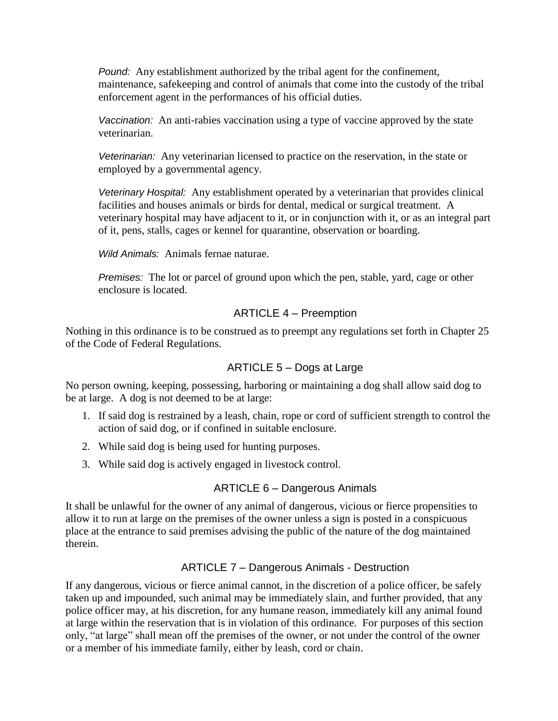*Pound:* Any establishment authorized by the tribal agent for the confinement, maintenance, safekeeping and control of animals that come into the custody of the tribal enforcement agent in the performances of his official duties.

*Vaccination:* An anti-rabies vaccination using a type of vaccine approved by the state veterinarian.

*Veterinarian:* Any veterinarian licensed to practice on the reservation, in the state or employed by a governmental agency.

*Veterinary Hospital:* Any establishment operated by a veterinarian that provides clinical facilities and houses animals or birds for dental, medical or surgical treatment. A veterinary hospital may have adjacent to it, or in conjunction with it, or as an integral part of it, pens, stalls, cages or kennel for quarantine, observation or boarding.

*Wild Animals:* Animals fernae naturae.

*Premises:* The lot or parcel of ground upon which the pen, stable, yard, cage or other enclosure is located.

### ARTICLE 4 – Preemption

Nothing in this ordinance is to be construed as to preempt any regulations set forth in Chapter 25 of the Code of Federal Regulations.

## ARTICLE 5 – Dogs at Large

No person owning, keeping, possessing, harboring or maintaining a dog shall allow said dog to be at large. A dog is not deemed to be at large:

- 1. If said dog is restrained by a leash, chain, rope or cord of sufficient strength to control the action of said dog, or if confined in suitable enclosure.
- 2. While said dog is being used for hunting purposes.
- 3. While said dog is actively engaged in livestock control.

## ARTICLE 6 – Dangerous Animals

It shall be unlawful for the owner of any animal of dangerous, vicious or fierce propensities to allow it to run at large on the premises of the owner unless a sign is posted in a conspicuous place at the entrance to said premises advising the public of the nature of the dog maintained therein.

## ARTICLE 7 – Dangerous Animals - Destruction

If any dangerous, vicious or fierce animal cannot, in the discretion of a police officer, be safely taken up and impounded, such animal may be immediately slain, and further provided, that any police officer may, at his discretion, for any humane reason, immediately kill any animal found at large within the reservation that is in violation of this ordinance. For purposes of this section only, "at large" shall mean off the premises of the owner, or not under the control of the owner or a member of his immediate family, either by leash, cord or chain.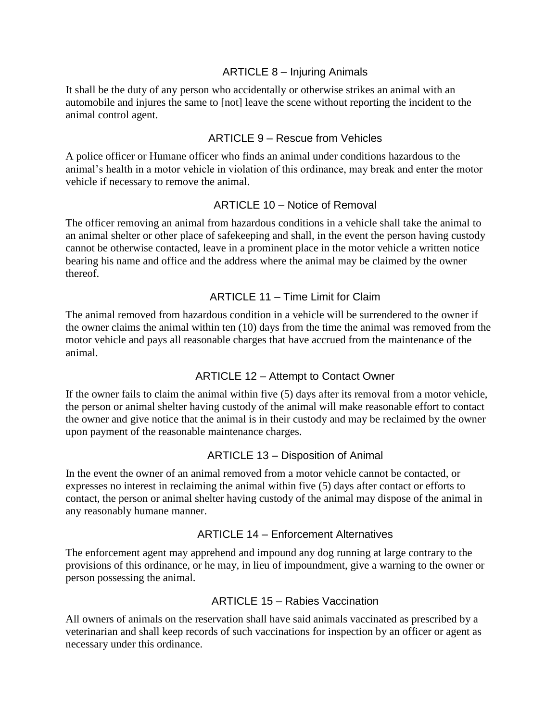#### ARTICLE 8 – Injuring Animals

It shall be the duty of any person who accidentally or otherwise strikes an animal with an automobile and injures the same to [not] leave the scene without reporting the incident to the animal control agent.

#### ARTICLE 9 – Rescue from Vehicles

A police officer or Humane officer who finds an animal under conditions hazardous to the animal's health in a motor vehicle in violation of this ordinance, may break and enter the motor vehicle if necessary to remove the animal.

### ARTICLE 10 – Notice of Removal

The officer removing an animal from hazardous conditions in a vehicle shall take the animal to an animal shelter or other place of safekeeping and shall, in the event the person having custody cannot be otherwise contacted, leave in a prominent place in the motor vehicle a written notice bearing his name and office and the address where the animal may be claimed by the owner thereof.

### ARTICLE 11 – Time Limit for Claim

The animal removed from hazardous condition in a vehicle will be surrendered to the owner if the owner claims the animal within ten (10) days from the time the animal was removed from the motor vehicle and pays all reasonable charges that have accrued from the maintenance of the animal.

#### ARTICLE 12 – Attempt to Contact Owner

If the owner fails to claim the animal within five (5) days after its removal from a motor vehicle, the person or animal shelter having custody of the animal will make reasonable effort to contact the owner and give notice that the animal is in their custody and may be reclaimed by the owner upon payment of the reasonable maintenance charges.

## ARTICLE 13 – Disposition of Animal

In the event the owner of an animal removed from a motor vehicle cannot be contacted, or expresses no interest in reclaiming the animal within five (5) days after contact or efforts to contact, the person or animal shelter having custody of the animal may dispose of the animal in any reasonably humane manner.

#### ARTICLE 14 – Enforcement Alternatives

The enforcement agent may apprehend and impound any dog running at large contrary to the provisions of this ordinance, or he may, in lieu of impoundment, give a warning to the owner or person possessing the animal.

#### ARTICLE 15 – Rabies Vaccination

All owners of animals on the reservation shall have said animals vaccinated as prescribed by a veterinarian and shall keep records of such vaccinations for inspection by an officer or agent as necessary under this ordinance.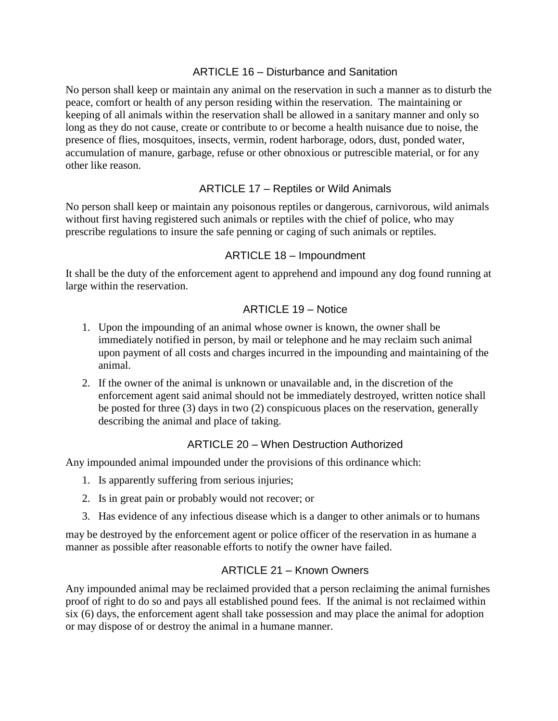#### ARTICLE 16 – Disturbance and Sanitation

No person shall keep or maintain any animal on the reservation in such a manner as to disturb the peace, comfort or health of any person residing within the reservation. The maintaining or keeping of all animals within the reservation shall be allowed in a sanitary manner and only so long as they do not cause, create or contribute to or become a health nuisance due to noise, the presence of flies, mosquitoes, insects, vermin, rodent harborage, odors, dust, ponded water, accumulation of manure, garbage, refuse or other obnoxious or putrescible material, or for any other like reason.

## ARTICLE 17 – Reptiles or Wild Animals

No person shall keep or maintain any poisonous reptiles or dangerous, carnivorous, wild animals without first having registered such animals or reptiles with the chief of police, who may prescribe regulations to insure the safe penning or caging of such animals or reptiles.

#### ARTICLE 18 – Impoundment

It shall be the duty of the enforcement agent to apprehend and impound any dog found running at large within the reservation.

### ARTICLE 19 – Notice

- 1. Upon the impounding of an animal whose owner is known, the owner shall be immediately notified in person, by mail or telephone and he may reclaim such animal upon payment of all costs and charges incurred in the impounding and maintaining of the animal.
- 2. If the owner of the animal is unknown or unavailable and, in the discretion of the enforcement agent said animal should not be immediately destroyed, written notice shall be posted for three (3) days in two (2) conspicuous places on the reservation, generally describing the animal and place of taking.

## ARTICLE 20 - When Destruction Authorized

Any impounded animal impounded under the provisions of this ordinance which:

- 1. Is apparently suffering from serious injuries;
- 2. Is in great pain or probably would not recover; or
- 3. Has evidence of any infectious disease which is a danger to other animals or to humans

may be destroyed by the enforcement agent or police officer of the reservation in as humane a manner as possible after reasonable efforts to notify the owner have failed.

#### ARTICLE 21 – Known Owners

Any impounded animal may be reclaimed provided that a person reclaiming the animal furnishes proof of right to do so and pays all established pound fees. If the animal is not reclaimed within six (6) days, the enforcement agent shall take possession and may place the animal for adoption or may dispose of or destroy the animal in a humane manner.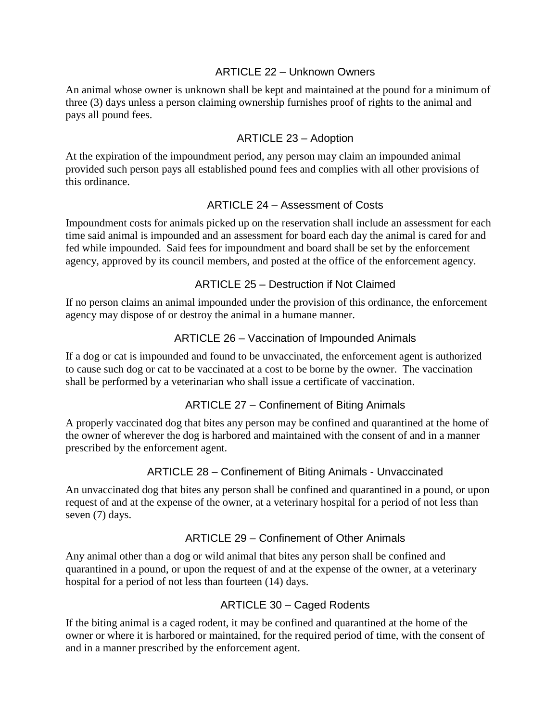#### ARTICLE 22 – Unknown Owners

An animal whose owner is unknown shall be kept and maintained at the pound for a minimum of three (3) days unless a person claiming ownership furnishes proof of rights to the animal and pays all pound fees.

#### ARTICLE 23 – Adoption

At the expiration of the impoundment period, any person may claim an impounded animal provided such person pays all established pound fees and complies with all other provisions of this ordinance.

#### ARTICLE 24 – Assessment of Costs

Impoundment costs for animals picked up on the reservation shall include an assessment for each time said animal is impounded and an assessment for board each day the animal is cared for and fed while impounded. Said fees for impoundment and board shall be set by the enforcement agency, approved by its council members, and posted at the office of the enforcement agency.

#### ARTICLE 25 – Destruction if Not Claimed

If no person claims an animal impounded under the provision of this ordinance, the enforcement agency may dispose of or destroy the animal in a humane manner.

### ARTICLE 26 – Vaccination of Impounded Animals

If a dog or cat is impounded and found to be unvaccinated, the enforcement agent is authorized to cause such dog or cat to be vaccinated at a cost to be borne by the owner. The vaccination shall be performed by a veterinarian who shall issue a certificate of vaccination.

## ARTICLE 27 – Confinement of Biting Animals

A properly vaccinated dog that bites any person may be confined and quarantined at the home of the owner of wherever the dog is harbored and maintained with the consent of and in a manner prescribed by the enforcement agent.

#### ARTICLE 28 – Confinement of Biting Animals - Unvaccinated

An unvaccinated dog that bites any person shall be confined and quarantined in a pound, or upon request of and at the expense of the owner, at a veterinary hospital for a period of not less than seven (7) days.

#### ARTICLE 29 – Confinement of Other Animals

Any animal other than a dog or wild animal that bites any person shall be confined and quarantined in a pound, or upon the request of and at the expense of the owner, at a veterinary hospital for a period of not less than fourteen (14) days.

#### ARTICLE 30 – Caged Rodents

If the biting animal is a caged rodent, it may be confined and quarantined at the home of the owner or where it is harbored or maintained, for the required period of time, with the consent of and in a manner prescribed by the enforcement agent.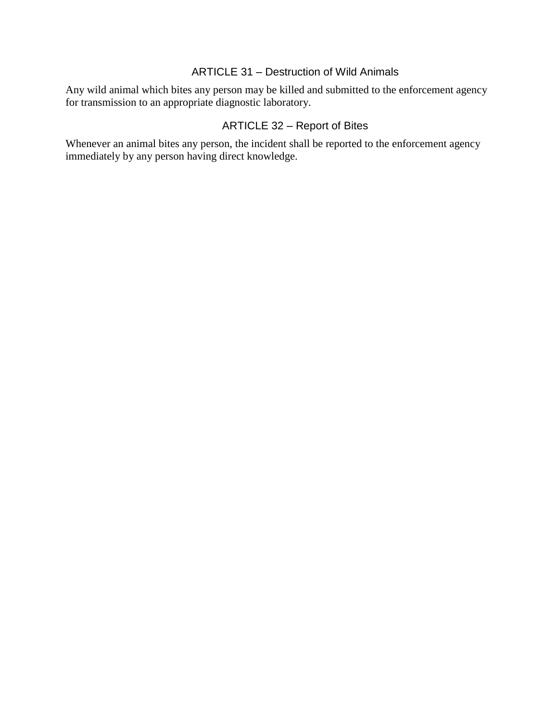## ARTICLE 31 – Destruction of Wild Animals

Any wild animal which bites any person may be killed and submitted to the enforcement agency for transmission to an appropriate diagnostic laboratory.

# ARTICLE 32 – Report of Bites

Whenever an animal bites any person, the incident shall be reported to the enforcement agency immediately by any person having direct knowledge.